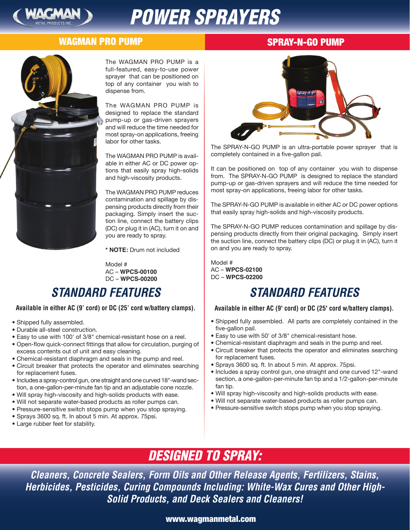

# *POWER SPRAYERS*

### **TM** WAGMAN PRO PUMP

### SPRAY-N-GO PUMP



The WAGMAN PRO PUMP is a full-featured, easy-to-use power sprayer that can be positioned on top of any container you wish to dispense from.

The WAGMAN PRO PUMP is designed to replace the standard pump-up or gas-driven sprayers and will reduce the time needed for most spray-on applications, freeing labor for other tasks.

The WAGMAN PRO PUMP is available in either AC or DC power options that easily spray high-solids and high-viscosity products.

The WAGMAN PRO PUMP reduces contamination and spillage by dispensing products directly from their packaging. Simply insert the suction line, connect the battery clips (DC) or plug it in (AC), turn it on and you are ready to spray.

**\* NOTE:** Drum not included

Model # AC – **WPCS-00100** DC – **WPCS-00200**

# *STANDARD FEATURES*

#### **Available in either AC (9' cord) or DC (25' cord w/battery clamps).**

- Shipped fully assembled.
- Durable all-steel construction.
- Easy to use with 100' of 3/8" chemical-resistant hose on a reel.
- Open-flow quick-connect fittings that allow for circulation, purging of excess contents out of unit and easy cleaning.
- Chemical-resistant diaphragm and seals in the pump and reel.
- Circuit breaker that protects the operator and eliminates searching for replacement fuses.
- Includes a spray-control gun, one straight and one curved 18"-wand section, a one-gallon-per-minute fan tip and an adjustable cone nozzle.
- Will spray high-viscosity and high-solids products with ease.
- Will not separate water-based products as roller pumps can.
- Pressure-sensitive switch stops pump when you stop spraying.
- Sprays 3600 sq. ft. In about 5 min. At approx. 75psi.
- Large rubber feet for stability.



The SPRAY-N-GO PUMP is an ultra-portable power sprayer that is completely contained in a five-gallon pail.

It can be positioned on top of any container you wish to dispense from. The SPRAY-N-GO PUMP is designed to replace the standard pump-up or gas-driven sprayers and will reduce the time needed for most spray-on applications, freeing labor for other tasks.

The SPRAY-N-GO PUMP is available in either AC or DC power options that easily spray high-solids and high-viscosity products.

The SPRAY-N-GO PUMP reduces contamination and spillage by dispensing products directly from their original packaging. Simply insert the suction line, connect the battery clips (DC) or plug it in (AC), turn it on and you are ready to spray.

Model # AC – **WPCS-02100** DC – **WPCS-02200**

### *STANDARD FEATURES*

#### **Available in either AC (9' cord) or DC (25' cord w/battery clamps).**

- Shipped fully assembled. All parts are completely contained in the five-gallon pail.
- Easy to use with 50' of 3/8" chemical-resistant hose.
- Chemical-resistant diaphragm and seals in the pump and reel.
- Circuit breaker that protects the operator and eliminates searching for replacement fuses.
- Sprays 3600 sq. ft. In about 5 min. At approx. 75psi.
- Includes a spray control gun, one straight and one curved 12"-wand section, a one-gallon-per-minute fan tip and a 1/2-gallon-per-minute fan tip.
- Will spray high-viscosity and high-solids products with ease.
- Will not separate water-based products as roller pumps can.
- Pressure-sensitive switch stops pump when you stop spraying.

# *DESIGNED TO SPRAY:*

*Cleaners, Concrete Sealers, Form Oils and Other Release Agents, Fertilizers, Stains, Herbicides, Pesticides, Curing Compounds Including: White-Wax Cures and Other High-Solid Products, and Deck Sealers and Cleaners!* 

### www.wagmanmetal.com